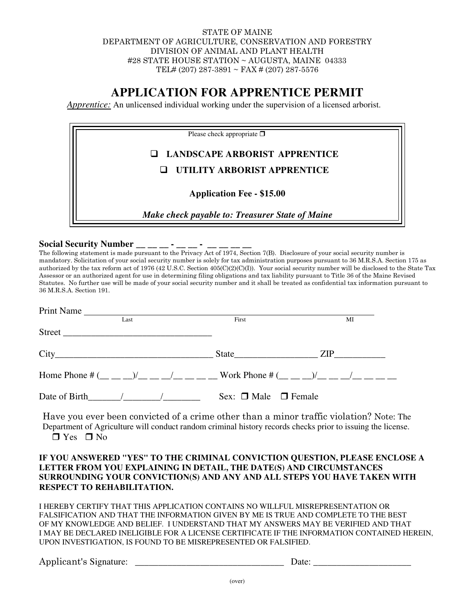## STATE OF MAINE DEPARTMENT OF AGRICULTURE, CONSERVATION AND FORESTRY DIVISION OF ANIMAL AND PLANT HEALTH #28 STATE HOUSE STATION ~ AUGUSTA, MAINE 04333 TEL# (207) 287-3891 ~ FAX # (207) 287-5576

## **APPLICATION FOR APPRENTICE PERMIT**

*Apprentice:* An unlicensed individual working under the supervision of a licensed arborist.

| Please check appropriate $\Box$                 |  |
|-------------------------------------------------|--|
| <b>Q LANDSCAPE ARBORIST APPRENTICE</b>          |  |
| UTILITY ARBORIST APPRENTICE                     |  |
| <b>Application Fee - \$15.00</b>                |  |
| Make check payable to: Treasurer State of Maine |  |

Social Security Number \_\_ \_\_ \_\_ - \_

The following statement is made pursuant to the Privacy Act of 1974, Section 7(B). Disclosure of your social security number is mandatory. Solicitation of your social security number is solely for tax administration purposes pursuant to 36 M.R.S.A. Section 175 as authorized by the tax reform act of 1976 (42 U.S.C. Section 405(C)(2)(C)(I)). Your social security number will be disclosed to the State Tax Assessor or an authorized agent for use in determining filing obligations and tax liability pursuant to Title 36 of the Maine Revised Statutes. No further use will be made of your social security number and it shall be treated as confidential tax information pursuant to 36 M.R.S.A. Section 191.

| Print Name                                                                                |                                |    |
|-------------------------------------------------------------------------------------------|--------------------------------|----|
| Last                                                                                      | First                          | MI |
|                                                                                           |                                |    |
|                                                                                           | State ZIP                      |    |
| Home Phone # $($ _ _ _ _) $/$ _ _ _ _/ _ _ _ _ Work Phone # $($ _ _ _) $/$ _ _ _/ _ _ _ _ |                                |    |
| Date of Birth $/$ $/$ $/$                                                                 | Sex: $\Box$ Male $\Box$ Female |    |

Have you ever been convicted of a crime other than a minor traffic violation? Note: The Department of Agriculture will conduct random criminal history records checks prior to issuing the license.  $\Box$  Yes  $\Box$  No

## **IF YOU ANSWERED "YES" TO THE CRIMINAL CONVICTION QUESTION, PLEASE ENCLOSE A LETTER FROM YOU EXPLAINING IN DETAIL, THE DATE(S) AND CIRCUMSTANCES SURROUNDING YOUR CONVICTION(S) AND ANY AND ALL STEPS YOU HAVE TAKEN WITH RESPECT TO REHABILITATION.**

I HEREBY CERTIFY THAT THIS APPLICATION CONTAINS NO WILLFUL MISREPRESENTATION OR FALSIFICATION AND THAT THE INFORMATION GIVEN BY ME IS TRUE AND COMPLETE TO THE BEST OF MY KNOWLEDGE AND BELIEF. I UNDERSTAND THAT MY ANSWERS MAY BE VERIFIED AND THAT I MAY BE DECLARED INELIGIBLE FOR A LICENSE CERTIFICATE IF THE INFORMATION CONTAINED HEREIN, UPON INVESTIGATION, IS FOUND TO BE MISREPRESENTED OR FALSIFIED.

Applicant's Signature: <u>Date</u>: